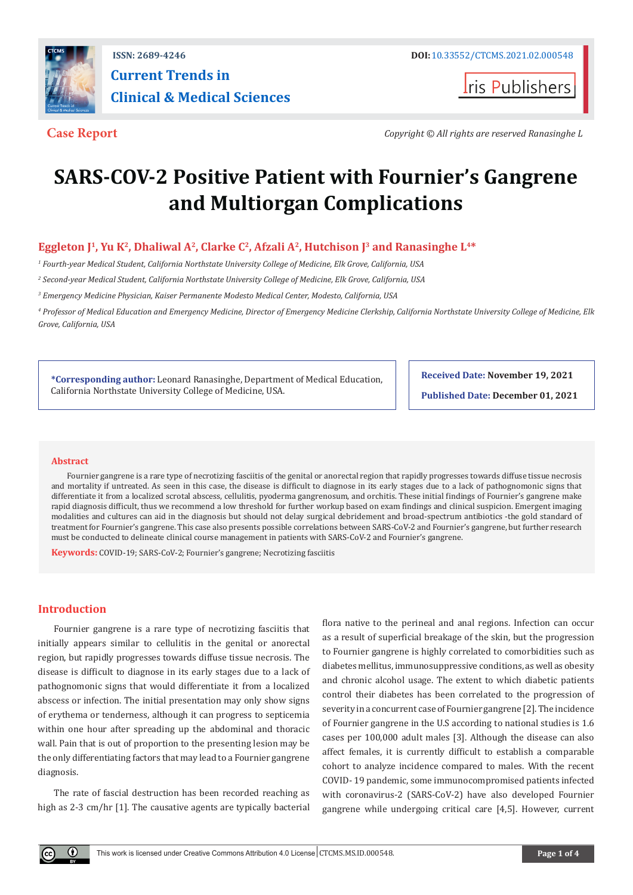

**Iris Publishers** 

**Case Report** *Copyright © All rights are reserved Ranasinghe L*

# **SARS-COV-2 Positive Patient with Fournier's Gangrene and Multiorgan Complications**

**Eggleton J<sup>1</sup>, Yu K<sup>2</sup>, Dhaliwal A<sup>2</sup>, Clarke C<sup>2</sup>, Afzali A<sup>2</sup>, Hutchison J<sup>3</sup> and Ranasinghe L<sup>4\*</sup>** 

*1 Fourth-year Medical Student, California Northstate University College of Medicine, Elk Grove, California, USA* 

*2 Second-year Medical Student, California Northstate University College of Medicine, Elk Grove, California, USA* 

*3 Emergency Medicine Physician, Kaiser Permanente Modesto Medical Center, Modesto, California, USA*

*4 Professor of Medical Education and Emergency Medicine, Director of Emergency Medicine Clerkship, California Northstate University College of Medicine, Elk Grove, California, USA*

**\*Corresponding author:** Leonard Ranasinghe, Department of Medical Education, California Northstate University College of Medicine, USA.

**Received Date: November 19, 2021**

**Published Date: December 01, 2021**

#### **Abstract**

Fournier gangrene is a rare type of necrotizing fasciitis of the genital or anorectal region that rapidly progresses towards diffuse tissue necrosis and mortality if untreated. As seen in this case, the disease is difficult to diagnose in its early stages due to a lack of pathognomonic signs that differentiate it from a localized scrotal abscess, cellulitis, pyoderma gangrenosum, and orchitis. These initial findings of Fournier's gangrene make rapid diagnosis difficult, thus we recommend a low threshold for further workup based on exam findings and clinical suspicion. Emergent imaging modalities and cultures can aid in the diagnosis but should not delay surgical debridement and broad-spectrum antibiotics -the gold standard of treatment for Fournier's gangrene. This case also presents possible correlations between SARS-CoV-2 and Fournier's gangrene, but further research must be conducted to delineate clinical course management in patients with SARS-CoV-2 and Fournier's gangrene.

**Keywords:** COVID-19; SARS-CoV-2; Fournier's gangrene; Necrotizing fasciitis

# **Introduction**

Fournier gangrene is a rare type of necrotizing fasciitis that initially appears similar to cellulitis in the genital or anorectal region, but rapidly progresses towards diffuse tissue necrosis. The disease is difficult to diagnose in its early stages due to a lack of pathognomonic signs that would differentiate it from a localized abscess or infection. The initial presentation may only show signs of erythema or tenderness, although it can progress to septicemia within one hour after spreading up the abdominal and thoracic wall. Pain that is out of proportion to the presenting lesion may be the only differentiating factors that may lead to a Fournier gangrene diagnosis.

The rate of fascial destruction has been recorded reaching as high as 2-3 cm/hr [1]. The causative agents are typically bacterial

flora native to the perineal and anal regions. Infection can occur as a result of superficial breakage of the skin, but the progression to Fournier gangrene is highly correlated to comorbidities such as diabetes mellitus, immunosuppressive conditions, as well as obesity and chronic alcohol usage. The extent to which diabetic patients control their diabetes has been correlated to the progression of severity in a concurrent case of Fournier gangrene [2]. The incidence of Fournier gangrene in the U.S according to national studies is 1.6 cases per 100,000 adult males [3]. Although the disease can also affect females, it is currently difficult to establish a comparable cohort to analyze incidence compared to males. With the recent COVID- 19 pandemic, some immunocompromised patients infected with coronavirus-2 (SARS-CoV-2) have also developed Fournier gangrene while undergoing critical care [4,5]. However, current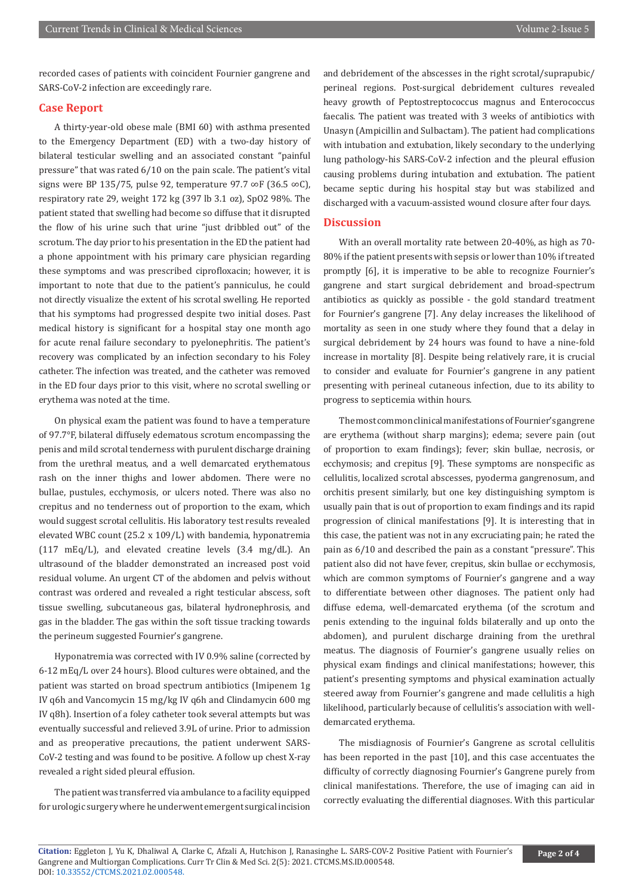recorded cases of patients with coincident Fournier gangrene and SARS-CoV-2 infection are exceedingly rare.

## **Case Report**

A thirty-year-old obese male (BMI 60) with asthma presented to the Emergency Department (ED) with a two-day history of bilateral testicular swelling and an associated constant "painful pressure" that was rated 6/10 on the pain scale. The patient's vital signs were BP 135/75, pulse 92, temperature 97.7 ∞F (36.5 ∞C), respiratory rate 29, weight 172 kg (397 lb 3.1 oz), SpO2 98%. The patient stated that swelling had become so diffuse that it disrupted the flow of his urine such that urine "just dribbled out" of the scrotum. The day prior to his presentation in the ED the patient had a phone appointment with his primary care physician regarding these symptoms and was prescribed ciprofloxacin; however, it is important to note that due to the patient's panniculus, he could not directly visualize the extent of his scrotal swelling. He reported that his symptoms had progressed despite two initial doses. Past medical history is significant for a hospital stay one month ago for acute renal failure secondary to pyelonephritis. The patient's recovery was complicated by an infection secondary to his Foley catheter. The infection was treated, and the catheter was removed in the ED four days prior to this visit, where no scrotal swelling or erythema was noted at the time.

On physical exam the patient was found to have a temperature of 97.7°F, bilateral diffusely edematous scrotum encompassing the penis and mild scrotal tenderness with purulent discharge draining from the urethral meatus, and a well demarcated erythematous rash on the inner thighs and lower abdomen. There were no bullae, pustules, ecchymosis, or ulcers noted. There was also no crepitus and no tenderness out of proportion to the exam, which would suggest scrotal cellulitis. His laboratory test results revealed elevated WBC count (25.2 x 109/L) with bandemia, hyponatremia (117 mEq/L), and elevated creatine levels (3.4 mg/dL). An ultrasound of the bladder demonstrated an increased post void residual volume. An urgent CT of the abdomen and pelvis without contrast was ordered and revealed a right testicular abscess, soft tissue swelling, subcutaneous gas, bilateral hydronephrosis, and gas in the bladder. The gas within the soft tissue tracking towards the perineum suggested Fournier's gangrene.

Hyponatremia was corrected with IV 0.9% saline (corrected by 6-12 mEq/L over 24 hours). Blood cultures were obtained, and the patient was started on broad spectrum antibiotics (Imipenem 1g IV q6h and Vancomycin 15 mg/kg IV q6h and Clindamycin 600 mg IV q8h). Insertion of a foley catheter took several attempts but was eventually successful and relieved 3.9L of urine. Prior to admission and as preoperative precautions, the patient underwent SARS-CoV-2 testing and was found to be positive. A follow up chest X-ray revealed a right sided pleural effusion.

The patient was transferred via ambulance to a facility equipped for urologic surgery where he underwent emergent surgical incision and debridement of the abscesses in the right scrotal/suprapubic/ perineal regions. Post-surgical debridement cultures revealed heavy growth of Peptostreptococcus magnus and Enterococcus faecalis. The patient was treated with 3 weeks of antibiotics with Unasyn (Ampicillin and Sulbactam). The patient had complications with intubation and extubation, likely secondary to the underlying lung pathology-his SARS-CoV-2 infection and the pleural effusion causing problems during intubation and extubation. The patient became septic during his hospital stay but was stabilized and discharged with a vacuum-assisted wound closure after four days.

#### **Discussion**

With an overall mortality rate between 20-40%, as high as 70- 80% if the patient presents with sepsis or lower than 10% if treated promptly [6], it is imperative to be able to recognize Fournier's gangrene and start surgical debridement and broad-spectrum antibiotics as quickly as possible - the gold standard treatment for Fournier's gangrene [7]. Any delay increases the likelihood of mortality as seen in one study where they found that a delay in surgical debridement by 24 hours was found to have a nine-fold increase in mortality [8]. Despite being relatively rare, it is crucial to consider and evaluate for Fournier's gangrene in any patient presenting with perineal cutaneous infection, due to its ability to progress to septicemia within hours.

The most common clinical manifestations of Fournier's gangrene are erythema (without sharp margins); edema; severe pain (out of proportion to exam findings); fever; skin bullae, necrosis, or ecchymosis; and crepitus [9]. These symptoms are nonspecific as cellulitis, localized scrotal abscesses, pyoderma gangrenosum, and orchitis present similarly, but one key distinguishing symptom is usually pain that is out of proportion to exam findings and its rapid progression of clinical manifestations [9]. It is interesting that in this case, the patient was not in any excruciating pain; he rated the pain as 6/10 and described the pain as a constant "pressure". This patient also did not have fever, crepitus, skin bullae or ecchymosis, which are common symptoms of Fournier's gangrene and a way to differentiate between other diagnoses. The patient only had diffuse edema, well-demarcated erythema (of the scrotum and penis extending to the inguinal folds bilaterally and up onto the abdomen), and purulent discharge draining from the urethral meatus. The diagnosis of Fournier's gangrene usually relies on physical exam findings and clinical manifestations; however, this patient's presenting symptoms and physical examination actually steered away from Fournier's gangrene and made cellulitis a high likelihood, particularly because of cellulitis's association with welldemarcated erythema.

The misdiagnosis of Fournier's Gangrene as scrotal cellulitis has been reported in the past [10], and this case accentuates the difficulty of correctly diagnosing Fournier's Gangrene purely from clinical manifestations. Therefore, the use of imaging can aid in correctly evaluating the differential diagnoses. With this particular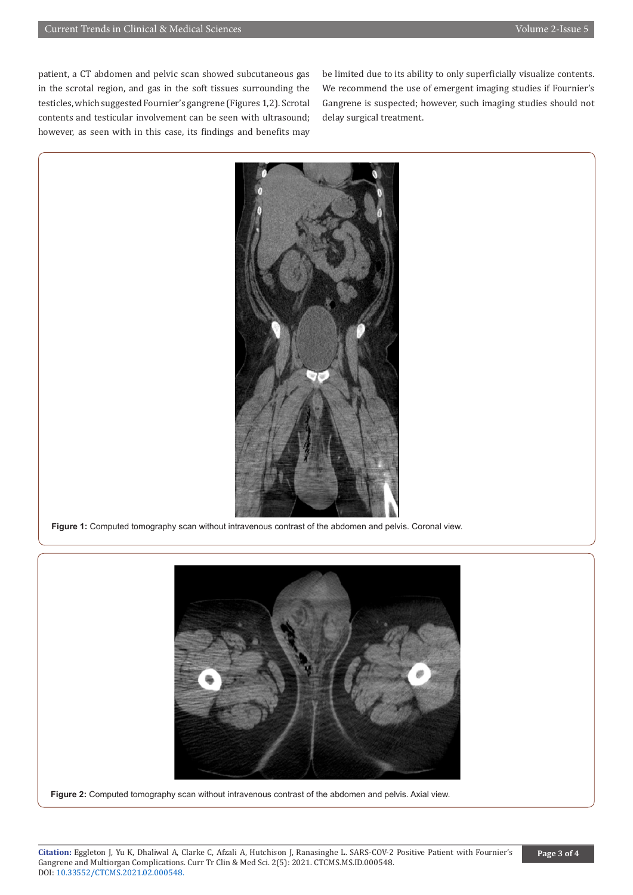patient, a CT abdomen and pelvic scan showed subcutaneous gas in the scrotal region, and gas in the soft tissues surrounding the testicles, which suggested Fournier's gangrene (Figures 1,2). Scrotal contents and testicular involvement can be seen with ultrasound; however, as seen with in this case, its findings and benefits may

be limited due to its ability to only superficially visualize contents. We recommend the use of emergent imaging studies if Fournier's Gangrene is suspected; however, such imaging studies should not delay surgical treatment.



**Figure 1:** Computed tomography scan without intravenous contrast of the abdomen and pelvis. Coronal view.



**Figure 2:** Computed tomography scan without intravenous contrast of the abdomen and pelvis. Axial view.

**Citation:** Eggleton J, Yu K, Dhaliwal A, Clarke C, Afzali A, Hutchison J, Ranasinghe L. SARS-COV-2 Positive Patient with Fournier's Gangrene and Multiorgan Complications. Curr Tr Clin & Med Sci. 2(5): 2021. CTCMS.MS.ID.000548. DOI: [10.33552/CTCMS.2021.02.000548.](http://dx.doi.org/10.33552/CTCSE.2021.02.000548)